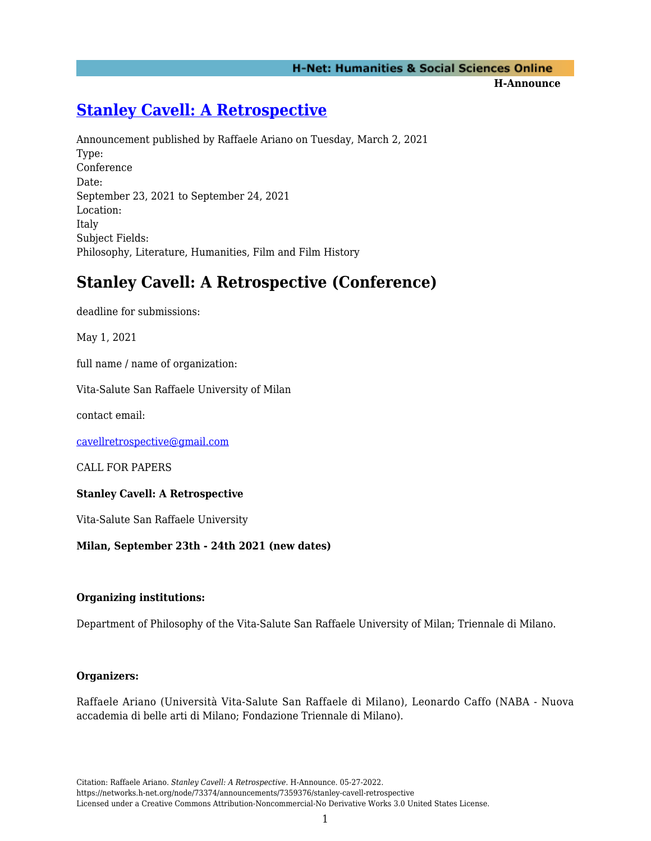## **H-Net: Humanities & Social Sciences Online**

**H-Announce** 

# **[Stanley Cavell: A Retrospective](https://networks.h-net.org/node/73374/announcements/7359376/stanley-cavell-retrospective)**

Announcement published by Raffaele Ariano on Tuesday, March 2, 2021 Type: Conference Date: September 23, 2021 to September 24, 2021 Location: Italy Subject Fields: Philosophy, Literature, Humanities, Film and Film History

## **Stanley Cavell: A Retrospective (Conference)**

deadline for submissions:

May 1, 2021

full name / name of organization:

Vita-Salute San Raffaele University of Milan

contact email:

[cavellretrospective@gmail.com](mailto:cavellretrospective@gmail.com)

CALL FOR PAPERS

## **Stanley Cavell: A Retrospective**

Vita-Salute San Raffaele University

## **Milan, September 23th - 24th 2021 (new dates)**

#### **Organizing institutions:**

Department of Philosophy of the Vita-Salute San Raffaele University of Milan; Triennale di Milano.

#### **Organizers:**

Raffaele Ariano (Università Vita-Salute San Raffaele di Milano), Leonardo Caffo (NABA - Nuova accademia di belle arti di Milano; Fondazione Triennale di Milano).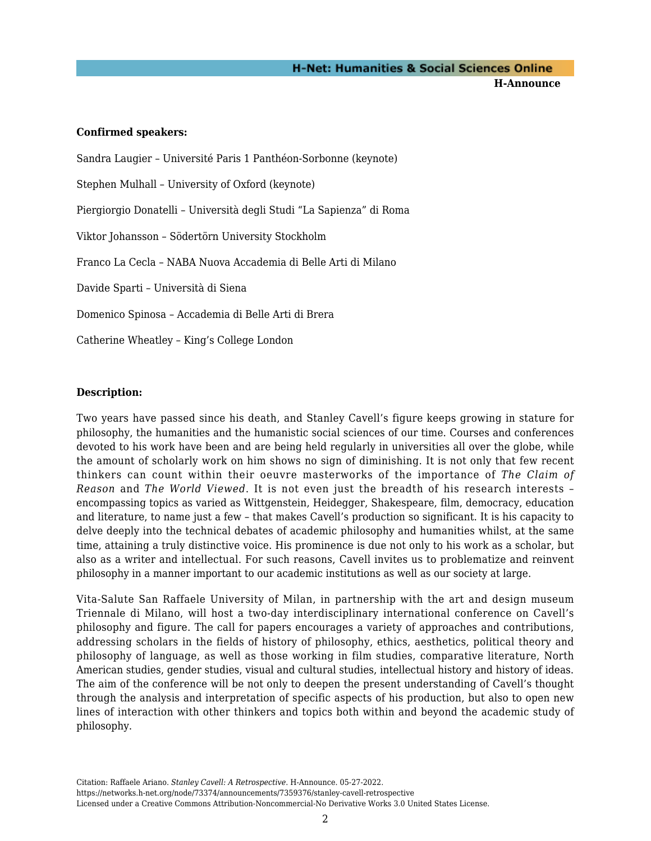**H-Announce** 

#### **Confirmed speakers:**

Sandra Laugier – Université Paris 1 Panthéon-Sorbonne (keynote) Stephen Mulhall – University of Oxford (keynote) Piergiorgio Donatelli – Università degli Studi "La Sapienza" di Roma Viktor Johansson – Södertörn University Stockholm Franco La Cecla – NABA Nuova Accademia di Belle Arti di Milano Davide Sparti – Università di Siena Domenico Spinosa – Accademia di Belle Arti di Brera Catherine Wheatley – King's College London

## **Description:**

Two years have passed since his death, and Stanley Cavell's figure keeps growing in stature for philosophy, the humanities and the humanistic social sciences of our time. Courses and conferences devoted to his work have been and are being held regularly in universities all over the globe, while the amount of scholarly work on him shows no sign of diminishing. It is not only that few recent thinkers can count within their oeuvre masterworks of the importance of *The Claim of Reason* and *The World Viewed*. It is not even just the breadth of his research interests – encompassing topics as varied as Wittgenstein, Heidegger, Shakespeare, film, democracy, education and literature, to name just a few – that makes Cavell's production so significant. It is his capacity to delve deeply into the technical debates of academic philosophy and humanities whilst, at the same time, attaining a truly distinctive voice. His prominence is due not only to his work as a scholar, but also as a writer and intellectual. For such reasons, Cavell invites us to problematize and reinvent philosophy in a manner important to our academic institutions as well as our society at large.

Vita-Salute San Raffaele University of Milan, in partnership with the art and design museum Triennale di Milano, will host a two-day interdisciplinary international conference on Cavell's philosophy and figure. The call for papers encourages a variety of approaches and contributions, addressing scholars in the fields of history of philosophy, ethics, aesthetics, political theory and philosophy of language, as well as those working in film studies, comparative literature, North American studies, gender studies, visual and cultural studies, intellectual history and history of ideas. The aim of the conference will be not only to deepen the present understanding of Cavell's thought through the analysis and interpretation of specific aspects of his production, but also to open new lines of interaction with other thinkers and topics both within and beyond the academic study of philosophy.